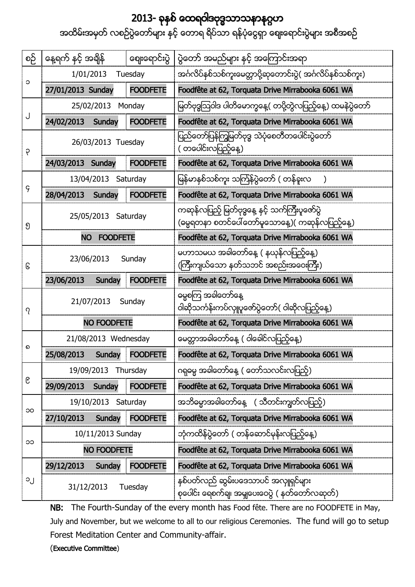## 2013-

အထိမ်းအမှတ် လစဉ်ပွဲတော်များ နှင့် တောရ ရိပ်သာ ရန်ပုံငွေရှာ စျေးရောင်းပွဲများ အစီအစဉ်

| စဉ်    | နေ့ရက် နင့် အချိန်           | ဈေးရောင်းပွဲ    | ပွဲတော် အမည်များ နင့် အကြောင်းအရာ                                                                   |
|--------|------------------------------|-----------------|-----------------------------------------------------------------------------------------------------|
| ၁      | 1/01/2013<br>Tuesday         |                 | အင်္ဂလိပ်နစ်သစ်ကူးမေတ္တာပို့ဆုတောင်းပွဲ( အင်္ဂလိပ်နစ်သစ်ကူး)                                        |
|        | 27/01/2013 Sunday            | <b>FOODFETE</b> | Foodfête at 62, Torquata Drive Mirrabooka 6061 WA                                                   |
| J<br>9 | 25/02/2013<br>Monday         |                 | မြတ်ဗုဒ္ဓဩဝါဒ ပါတိမောက္ခနေ့( တပို့တွဲလပြည့်နေ့) ထမနဲပွဲတော်                                         |
|        | 24/02/2013<br>Sunday         | <b>FOODFETE</b> | Foodfête at 62, Torquata Drive Mirrabooka 6061 WA                                                   |
|        | 26/03/2013 Tuesday           |                 | ပြည်တော်ပြန်ကြွမြတ်ဗုဒ္ဓ သဲပုံစေတီတပေါင်းပွဲတော်<br>( တပေါင်းလပြည့်နေ့)                             |
|        | 24/03/2013 Sunday            | <b>FOODFETE</b> | Foodfête at 62, Torquata Drive Mirrabooka 6061 WA                                                   |
| ၄      | 13/04/2013 Saturday          |                 | မြန်မာနစ်သစ်ကူး သင်္ကြန်ပွဲတော် ( တန်ခူးလ                                                           |
|        | 28/04/2013<br>Sunday         | <b>FOODFETE</b> | Foodfête at 62, Torquata Drive Mirrabooka 6061 WA                                                   |
| ၅      | 25/05/2013 Saturday          |                 | ကဆုန်လပြည့် မြတ်ဗုဒ္ဓနေ့ နှင့် သက်ကြီးပူဇော်ပွဲ<br>(ဓမ္မရတနာ စတင်ပေါ်တော်မူသောနေ့)( ကဆုန်လပြည့်နေ့) |
|        | <b>NO</b><br><b>FOODFETE</b> |                 | Foodfête at 62, Torquata Drive Mirrabooka 6061 WA                                                   |
| િ      | 23/06/2013<br>Sunday         |                 | မဟာသမယ အခါတော်နေ့ ( နယုန်လပြည့်နေ့)<br>(ကြီးကျယ်သော နတ်သဘင် အစည်းအဝေးကြီး)                          |
|        | 23/06/2013<br>Sunday         | <b>FOODFETE</b> | Foodfête at 62, Torquata Drive Mirrabooka 6061 WA                                                   |
| ဂု     | 21/07/2013<br>Sunday         |                 | ဓမ္မစကြ အခါတော်နေ့                                                                                  |
|        |                              |                 | ဝါဆိုသင်္ကန်းကပ်လုူပူဇော်ပွဲတော်( ဝါဆိုလပြည့်နေ့)                                                   |
|        | <b>NO FOODFETE</b>           |                 | Foodfête at 62, Torquata Drive Mirrabooka 6061 WA                                                   |
|        | 21/08/2013 Wednesday         |                 | မေတ္တာအခါတော်နေ့ ( ဝါခေါင်လပြည့်နေ့)                                                                |
| ର      | 25/08/2013<br>Sunday         | <b>FOODFETE</b> | Foodfête at 62, Torquata Drive Mirrabooka 6061 WA                                                   |
|        | 19/09/2013 Thursday          |                 | ဂရုဓမ္မ အခါတော်နေ့ ( တော်သလင်းလပြည့်)                                                               |
| ၉      | 29/09/2013<br>Sunday         | <b>FOODFETE</b> | Foodfête at 62, Torquata Drive Mirrabooka 6061 WA                                                   |
|        | 19/10/2013 Saturday          |                 | အဘိဓမ္မာအခါတော်နေ့ ( သီတင်းကျွတ်လပြည့်)                                                             |
| OC     | 27/10/2013<br>Sunday         | <b>FOODFETE</b> | Foodfête at 62, Torquata Drive Mirrabooka 6061 WA                                                   |
|        | 10/11/2013 Sunday            |                 | ဘုံကထိန်ပွဲတော် ( တန်ဆောင်မုန်းလပြည့်နေ့)                                                           |
| ၁၁     | <b>NO FOODFETE</b>           |                 | Foodfête at 62, Torquata Drive Mirrabooka 6061 WA                                                   |
|        | 29/12/2013<br>Sunday         | <b>FOODFETE</b> | Foodfête at 62, Torquata Drive Mirrabooka 6061 WA                                                   |

NB: The Fourth-Sunday of the every month has Food fête. There are no FOODFETE in May, July and November, but we welcome to all to our religious Ceremonies. The fund will go to setup Forest Meditation Center and Community-affair.

(Executive Committee)